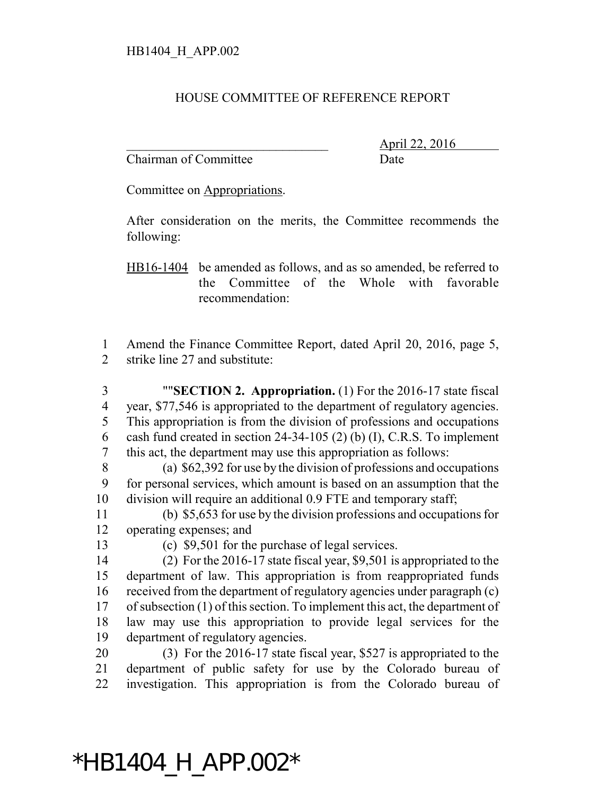## HOUSE COMMITTEE OF REFERENCE REPORT

Chairman of Committee Date

\_\_\_\_\_\_\_\_\_\_\_\_\_\_\_\_\_\_\_\_\_\_\_\_\_\_\_\_\_\_\_ April 22, 2016

Committee on Appropriations.

After consideration on the merits, the Committee recommends the following:

HB16-1404 be amended as follows, and as so amended, be referred to the Committee of the Whole with favorable recommendation:

 Amend the Finance Committee Report, dated April 20, 2016, page 5, strike line 27 and substitute:

 ""**SECTION 2. Appropriation.** (1) For the 2016-17 state fiscal year, \$77,546 is appropriated to the department of regulatory agencies. This appropriation is from the division of professions and occupations cash fund created in section 24-34-105 (2) (b) (I), C.R.S. To implement this act, the department may use this appropriation as follows:

 (a) \$62,392 for use by the division of professions and occupations for personal services, which amount is based on an assumption that the division will require an additional 0.9 FTE and temporary staff;

 (b) \$5,653 for use by the division professions and occupations for operating expenses; and

(c) \$9,501 for the purchase of legal services.

 (2) For the 2016-17 state fiscal year, \$9,501 is appropriated to the department of law. This appropriation is from reappropriated funds received from the department of regulatory agencies under paragraph (c) of subsection (1) of this section. To implement this act, the department of law may use this appropriation to provide legal services for the department of regulatory agencies.

 (3) For the 2016-17 state fiscal year, \$527 is appropriated to the department of public safety for use by the Colorado bureau of investigation. This appropriation is from the Colorado bureau of

## \*HB1404\_H\_APP.002\*